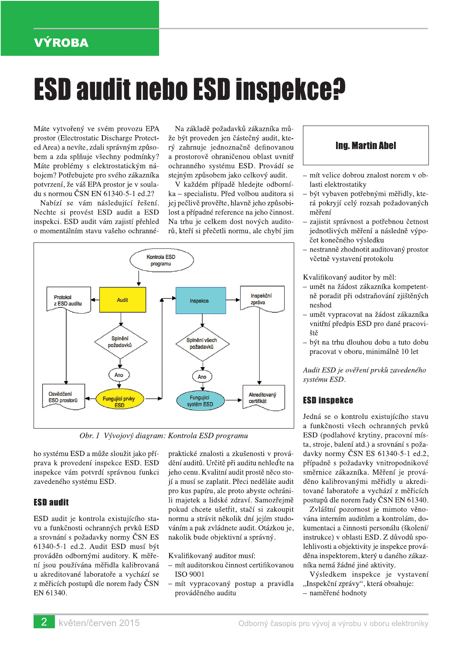# **VÝROBA**

# **ESD audit nebo ESD inspekce?**

Máte vytvořený ve svém provozu EPA prostor (Electrostatic Discharge Protected Area) a nevíte, zdali správným způsobem a zda splňuje všechny podmínky? Máte problémy s elektrostatickým nábojem? Potřebujete pro svého zákazníka potvrzení, že váš EPA prostor je v souladu s normou ČSN EN 61340-5-1 ed.2?

Nabízí se vám následující řešení. Nechte si provést ESD audit a ESD inspekci. ESD audit vám zajistí přehled o momentálním stavu vašeho ochranné-

Na základě požadavků zákazníka může být proveden jen částečný audit, který zahrnuje jednoznačně definovanou a prostorově ohraničenou oblast uvnitř ochranného systému ESD. Provádí se stejným způsobem jako celkový audit.

V každém případě hledejte odborníka – specialistu. Před volbou auditora si jej pečlivě prověřte, hlavně jeho způsobilost a případné reference na jeho činnost. Na trhu je celkem dost nových auditorů, kteří si přečetli normu, ale chybí jim



Obr. 1 Vývojový diagram: Kontrola ESD programu

ho systému ESD a může sloužit jako příprava k provedení inspekce ESD. ESD inspekce vám potvrdí správnou funkci zavedeného systému ESD.

#### **ESD audit**

ESD audit je kontrola existujícího stavu a funkčnosti ochranných prvků ESD a srovnání s požadavky normy ČSN ES 61340-5-1 ed.2. Audit ESD musí být prováděn odbornými auditory. K měření jsou používána měřidla kalibrovaná u akreditované laboratoře a vychází se z měřicích postupů dle norem řady ČSN EN 61340.

praktické znalosti a zkušenosti v provádění auditů. Určitě při auditu nehleďte na jeho cenu. Kvalitní audit prostě něco stojí a musí se zaplatit. Přeci neděláte audit pro kus papíru, ale proto abyste ochránili majetek a lidské zdraví. Samozřejmě pokud chcete ušetřit, stačí si zakoupit normu a strávit několik dní jejím studováním a pak zvládnete audit. Otázkou je, nakolik bude objektivní a správný.

Kvalifikovaný auditor musí:

- mít auditorskou činnost certifikovanou **ISO 9001**
- mít vypracovaný postup a pravidla prováděného auditu

## **Ing. Martin Abel**

- mít velice dobrou znalost norem v oblasti elektrostatiky
- být vybaven potřebnými měřidly, která pokryjí celý rozsah požadovaných měření
- zajistit správnost a potřebnou četnost jednotlivých měření a následně výpočet konečného výsledku
- nestranně zhodnotit auditovaný prostor včetně vystavení protokolu

Kvalifikovaný auditor by měl:

- umět na žádost zákazníka kompetentně poradit při odstraňování zjištěných neshod
- umět vypracovat na žádost zákazníka vnitřní předpis ESD pro dané pracoviště
- být na trhu dlouhou dobu a tuto dobu pracovat v oboru, minimálně 10 let

Audit ESD je ověření prvků zavedeného systému ESD.

#### **ESD inspekce**

Jedná se o kontrolu existujícího stavu a funkčnosti všech ochranných prvků ESD (podlahové krytiny, pracovní místa, stroje, balení atd.) a srovnání s požadavky normy ČSN ES 61340-5-1 ed.2, případně s požadavky vnitropodnikové směrnice zákazníka. Měření je prováděno kalibrovanými měřidly u akreditované laboratoře a vychází z měřicích postupů dle norem řady ČSN EN 61340.

Zvláštní pozornost je mimoto věnována interním auditům a kontrolám, dokumentaci a činnosti personálu (školení/ instrukce) v oblasti ESD. Z důvodů spolehlivosti a objektivity je inspekce prováděna inspektorem, který u daného zákazníka nemá žádné jiné aktivity.

Výsledkem inspekce je vystavení "Inspekční zprávy", která obsahuje: - naměřené hodnoty